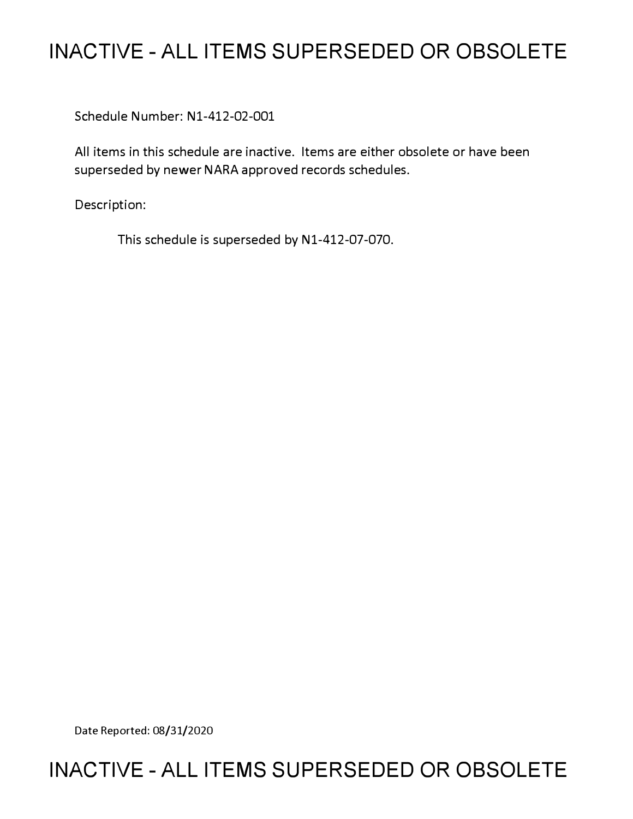# **INACTIVE - ALL ITEMS SUPERSEDED OR OBSOLETE**

Schedule Number: Nl-412-02-001

All items in this schedule are inactive. Items are either obsolete or have been superseded by newer NARA approved records schedules.

Description:

This schedule is superseded by Nl-412-07-070.

Date Reported: 08/31/2020

# **INACTIVE - ALL ITEMS SUPERSEDED OR OBSOLETE**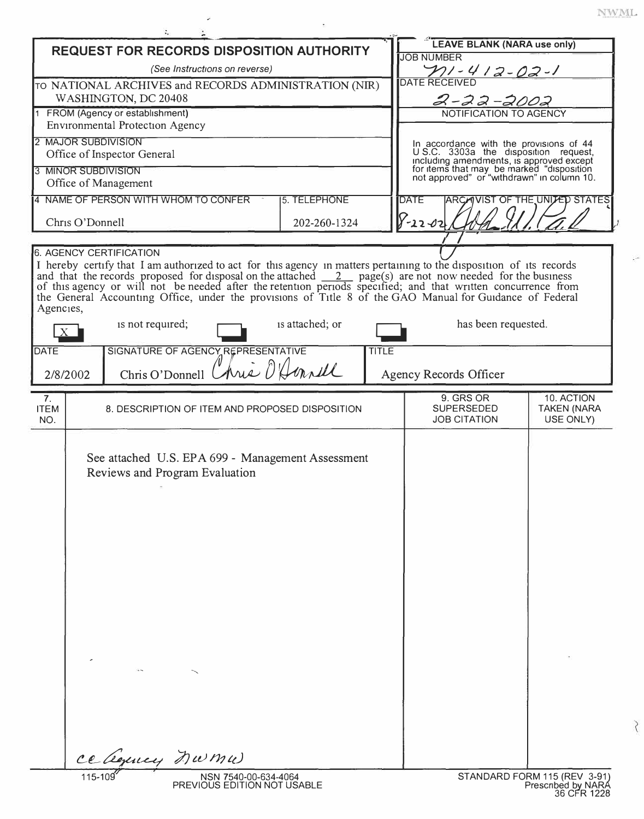$\tilde{\zeta}$ 

| <b>REQUEST FOR RECORDS DISPOSITION AUTHORITY</b>                |                                                      |                                                                                                                                                                                                                                              |                 |              | <b>LEAVE BLANK (NARA use only)</b>                                                                                                  |                                   |  |
|-----------------------------------------------------------------|------------------------------------------------------|----------------------------------------------------------------------------------------------------------------------------------------------------------------------------------------------------------------------------------------------|-----------------|--------------|-------------------------------------------------------------------------------------------------------------------------------------|-----------------------------------|--|
| (See Instructions on reverse)                                   |                                                      |                                                                                                                                                                                                                                              |                 |              | <b>JOB NUMBER</b>                                                                                                                   |                                   |  |
| TO NATIONAL ARCHIVES and RECORDS ADMINISTRATION (NIR)           |                                                      |                                                                                                                                                                                                                                              |                 |              | <u>2010-412-02-1</u><br>DATE RECEIVED                                                                                               |                                   |  |
| WASHINGTON, DC 20408                                            |                                                      |                                                                                                                                                                                                                                              |                 |              | 2-22-2002                                                                                                                           |                                   |  |
| 1 FROM (Agency or establishment)                                |                                                      |                                                                                                                                                                                                                                              |                 |              | NOTIFICATION TO AGENCY                                                                                                              |                                   |  |
|                                                                 |                                                      | <b>Environmental Protection Agency</b>                                                                                                                                                                                                       |                 |              |                                                                                                                                     |                                   |  |
| 2 MAJOR SUBDIVISION<br>Office of Inspector General              |                                                      |                                                                                                                                                                                                                                              |                 |              | In accordance with the provisions of 44<br>U S.C. 3303a the disposition request,                                                    |                                   |  |
| 3 MINOR SUBDIVISION                                             |                                                      |                                                                                                                                                                                                                                              |                 |              | including amendments, is approved except<br>for items that may be marked "disposition<br>not approved" or "withdrawn" in column 10. |                                   |  |
| Office of Management                                            |                                                      |                                                                                                                                                                                                                                              |                 |              |                                                                                                                                     |                                   |  |
|                                                                 | 4 NAME OF PERSON WITH WHOM TO CONFER<br>5. TELEPHONE |                                                                                                                                                                                                                                              |                 |              | <b>DATE</b><br><b>ARCAVIST OF THE UNITED STATES</b>                                                                                 |                                   |  |
|                                                                 | Chris O'Donnell<br>202-260-1324                      |                                                                                                                                                                                                                                              |                 |              | $8 - 22 - 02$                                                                                                                       |                                   |  |
|                                                                 |                                                      | <b>6. AGENCY CERTIFICATION</b>                                                                                                                                                                                                               |                 |              |                                                                                                                                     |                                   |  |
|                                                                 |                                                      | I hereby certify that I am authorized to act for this agency in matters pertaining to the disposition of its records                                                                                                                         |                 |              |                                                                                                                                     |                                   |  |
|                                                                 |                                                      | and that the records proposed for disposal on the attached $\frac{2}{\sqrt{2}}$ page(s) are not now needed for the business<br>of this agency or will not be needed after the retention periods specified; and that written concurrence from |                 |              |                                                                                                                                     |                                   |  |
|                                                                 |                                                      | the General Accounting Office, under the provisions of Title 8 of the GAO Manual for Guidance of Federal                                                                                                                                     |                 |              |                                                                                                                                     |                                   |  |
| Agencies,                                                       |                                                      |                                                                                                                                                                                                                                              |                 |              |                                                                                                                                     |                                   |  |
|                                                                 |                                                      | is not required;                                                                                                                                                                                                                             | is attached; or |              | has been requested.                                                                                                                 |                                   |  |
| <b>DATE</b>                                                     |                                                      | SIGNATURE OF AGENCY REPRESENTATIVE                                                                                                                                                                                                           |                 | <b>TITLE</b> |                                                                                                                                     |                                   |  |
|                                                                 | 2/8/2002                                             | Chris O'Donnell Chris O'Avarill                                                                                                                                                                                                              |                 |              | Agency Records Officer                                                                                                              |                                   |  |
| 7 <sub>1</sub>                                                  |                                                      |                                                                                                                                                                                                                                              |                 |              | 9. GRS OR                                                                                                                           | 10. ACTION                        |  |
| <b>ITEM</b><br>NO.                                              |                                                      | 8. DESCRIPTION OF ITEM AND PROPOSED DISPOSITION                                                                                                                                                                                              |                 |              | <b>SUPERSEDED</b><br><b>JOB CITATION</b>                                                                                            | <b>TAKEN (NARA</b><br>USE ONLY)   |  |
|                                                                 |                                                      |                                                                                                                                                                                                                                              |                 |              |                                                                                                                                     |                                   |  |
|                                                                 | See attached U.S. EPA 699 - Management Assessment    |                                                                                                                                                                                                                                              |                 |              |                                                                                                                                     |                                   |  |
|                                                                 | Reviews and Program Evaluation                       |                                                                                                                                                                                                                                              |                 |              |                                                                                                                                     |                                   |  |
|                                                                 |                                                      |                                                                                                                                                                                                                                              |                 |              |                                                                                                                                     |                                   |  |
|                                                                 |                                                      |                                                                                                                                                                                                                                              |                 |              |                                                                                                                                     |                                   |  |
|                                                                 |                                                      |                                                                                                                                                                                                                                              |                 |              |                                                                                                                                     |                                   |  |
|                                                                 |                                                      |                                                                                                                                                                                                                                              |                 |              |                                                                                                                                     |                                   |  |
|                                                                 |                                                      |                                                                                                                                                                                                                                              |                 |              |                                                                                                                                     |                                   |  |
|                                                                 |                                                      |                                                                                                                                                                                                                                              |                 |              |                                                                                                                                     |                                   |  |
|                                                                 |                                                      |                                                                                                                                                                                                                                              |                 |              |                                                                                                                                     |                                   |  |
|                                                                 |                                                      |                                                                                                                                                                                                                                              |                 |              |                                                                                                                                     |                                   |  |
|                                                                 |                                                      |                                                                                                                                                                                                                                              |                 |              |                                                                                                                                     |                                   |  |
|                                                                 |                                                      |                                                                                                                                                                                                                                              |                 |              |                                                                                                                                     |                                   |  |
|                                                                 |                                                      |                                                                                                                                                                                                                                              |                 |              |                                                                                                                                     |                                   |  |
|                                                                 |                                                      |                                                                                                                                                                                                                                              |                 |              |                                                                                                                                     |                                   |  |
|                                                                 |                                                      |                                                                                                                                                                                                                                              |                 |              |                                                                                                                                     |                                   |  |
|                                                                 |                                                      |                                                                                                                                                                                                                                              |                 |              |                                                                                                                                     |                                   |  |
|                                                                 |                                                      |                                                                                                                                                                                                                                              |                 |              |                                                                                                                                     |                                   |  |
|                                                                 |                                                      | ce dépuny numu                                                                                                                                                                                                                               |                 |              |                                                                                                                                     |                                   |  |
| STANDARD FORM 115 (REV 3-91)<br>115-109<br>NSN 7540-00-634-4064 |                                                      |                                                                                                                                                                                                                                              |                 |              |                                                                                                                                     |                                   |  |
|                                                                 |                                                      | PREVIOUS EDITION NOT USABLE                                                                                                                                                                                                                  |                 |              |                                                                                                                                     | Prescribed by NARA<br>36 CFR 1228 |  |

÷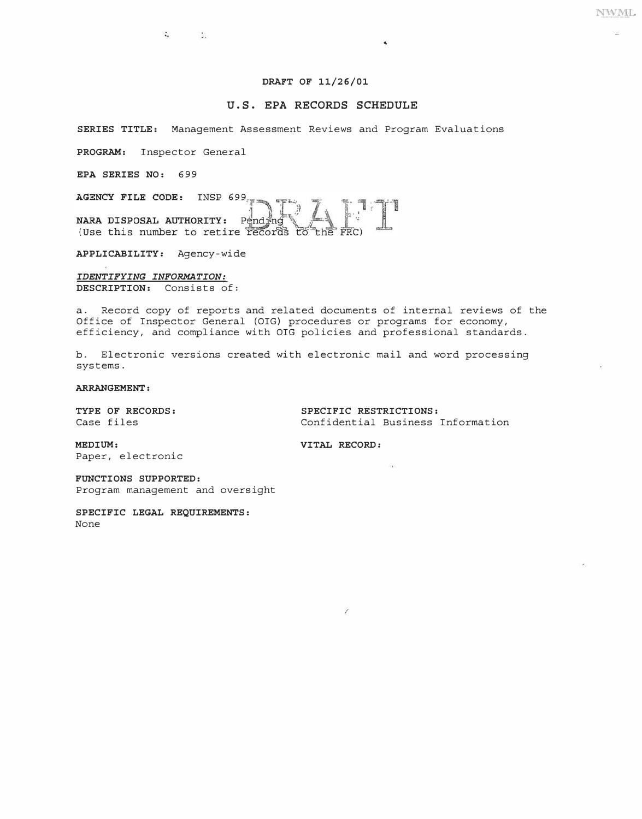**NWML** 

## **DRAFT OF 11/26/01**

### **U.S. EPA RECORDS SCHEDULE**

 $\blacktriangleleft$ 

**SERIES TITLE:** Management Assessment Reviews and Program Evaluations

**PROGRAM:** Inspector General

 $\sim$   $\sim$ 

**EPA SERIES NO:** 699

AGENCY FILE CODE: INSP 699

NARA DISPOSAL AUTHORITY: Pending (Use this number to retire records to the FRC)

**APPLICABILITY:** Agency-wide

*IDENTIFYING INFORMATION:*  **DESCRIPTION:** Consists of:

a. Record copy of reports and related documents of internal reviews of the Office of Inspector General (OIG) procedures or programs for economy, efficiency, and compliance with OIG policies and professional standards.

b. Electronic versions created with electronic mail and word processing systems.

#### **ARRANGEMENT:**

**TYPE OF RECORDS: SPECIFIC RESTRICTIONS:**  Confidential Business Information

525

**MEDIUM: VITAL RECORD:** 

Paper, electronic

**FUNCTIONS SUPPORTED:**  Program management and oversight

**SPECIFIC LEGAL REQUIREMENTS:**  None